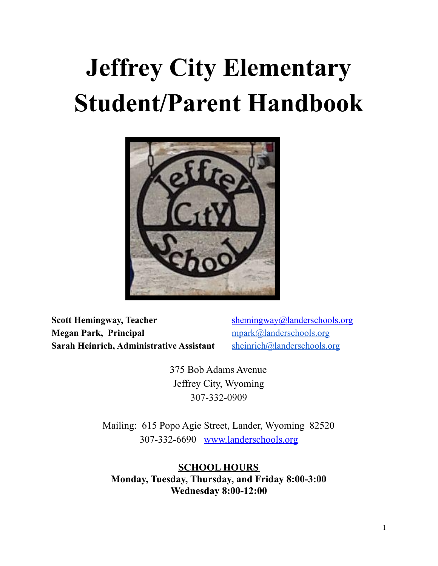# **Jeffrey City Elementary Student/Parent Handbook**



**Scott Hemingway, Teacher** [shemingway@landerschools.org](mailto:sgores@landerschools.org) **Megan Park, Principal** [mpark@landerschools.org](mailto:mpark@landerschools.org) **Sarah Heinrich, Administrative Assistant** [sheinrich@landerschools.org](mailto:sheinrich@landerschools.org)

375 Bob Adams Avenue Jeffrey City, Wyoming 307-332-0909

Mailing: 615 Popo Agie Street, Lander, Wyoming 82520 307-332-6690 [www.landerschools.org](http://www.landerschools.org)

**SCHOOL HOURS Monday, Tuesday, Thursday, and Friday 8:00-3:00 Wednesday 8:00-12:00**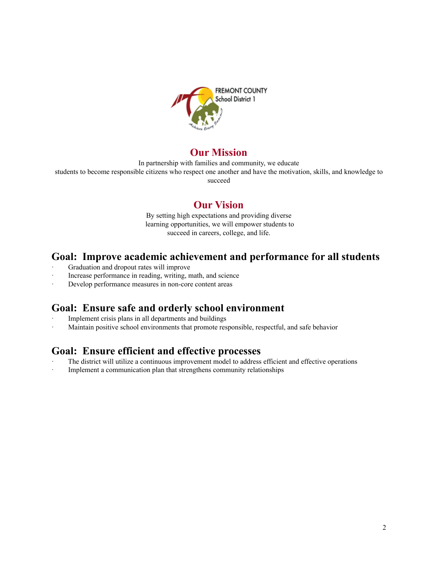

# **Our Mission**

In partnership with families and community, we educate

students to become responsible citizens who respect one another and have the motivation, skills, and knowledge to succeed

# **Our Vision**

By setting high expectations and providing diverse learning opportunities, we will empower students to succeed in careers, college, and life.

# **Goal: Improve academic achievement and performance for all students**

- Graduation and dropout rates will improve
- Increase performance in reading, writing, math, and science
- Develop performance measures in non-core content areas

# **Goal: Ensure safe and orderly school environment**

- Implement crisis plans in all departments and buildings
- Maintain positive school environments that promote responsible, respectful, and safe behavior

# **Goal: Ensure efficient and effective processes**

- The district will utilize a continuous improvement model to address efficient and effective operations
- Implement a communication plan that strengthens community relationships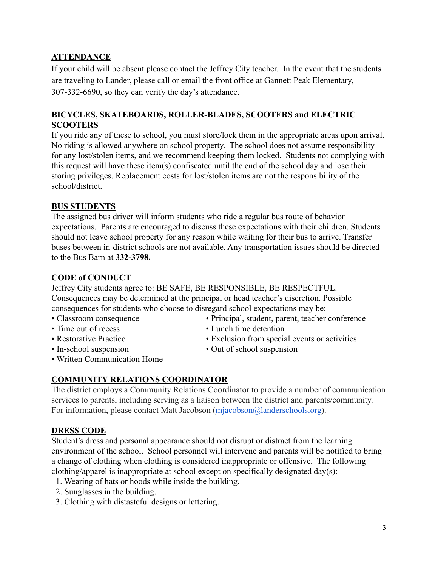# **ATTENDANCE**

If your child will be absent please contact the Jeffrey City teacher. In the event that the students are traveling to Lander, please call or email the front office at Gannett Peak Elementary, 307-332-6690, so they can verify the day's attendance.

## **BICYCLES, SKATEBOARDS, ROLLER-BLADES, SCOOTERS and ELECTRIC SCOOTERS**

If you ride any of these to school, you must store/lock them in the appropriate areas upon arrival. No riding is allowed anywhere on school property. The school does not assume responsibility for any lost/stolen items, and we recommend keeping them locked. Students not complying with this request will have these item(s) confiscated until the end of the school day and lose their storing privileges. Replacement costs for lost/stolen items are not the responsibility of the school/district.

# **BUS STUDENTS**

The assigned bus driver will inform students who ride a regular bus route of behavior expectations. Parents are encouraged to discuss these expectations with their children. Students should not leave school property for any reason while waiting for their bus to arrive. Transfer buses between in-district schools are not available. Any transportation issues should be directed to the Bus Barn at **332-3798.**

# **CODE of CONDUCT**

Jeffrey City students agree to: BE SAFE, BE RESPONSIBLE, BE RESPECTFUL. Consequences may be determined at the principal or head teacher's discretion. Possible consequences for students who choose to disregard school expectations may be:

- 
- 
- 
- 
- Classroom consequence Principal, student, parent, teacher conference
- Time out of recess Lunch time detention
- Restorative Practice Exclusion from special events or activities
- In-school suspension Out of school suspension
- Written Communication Home

# **COMMUNITY RELATIONS COORDINATOR**

The district employs a Community Relations Coordinator to provide a number of communication services to parents, including serving as a liaison between the district and parents/community. For information, please contact Matt Jacobson (mjacobson @landerschools.org).

# **DRESS CODE**

Student's dress and personal appearance should not disrupt or distract from the learning environment of the school. School personnel will intervene and parents will be notified to bring a change of clothing when clothing is considered inappropriate or offensive. The following clothing/apparel is inappropriate at school except on specifically designated day(s):

- 1. Wearing of hats or hoods while inside the building.
- 2. Sunglasses in the building.
- 3. Clothing with distasteful designs or lettering.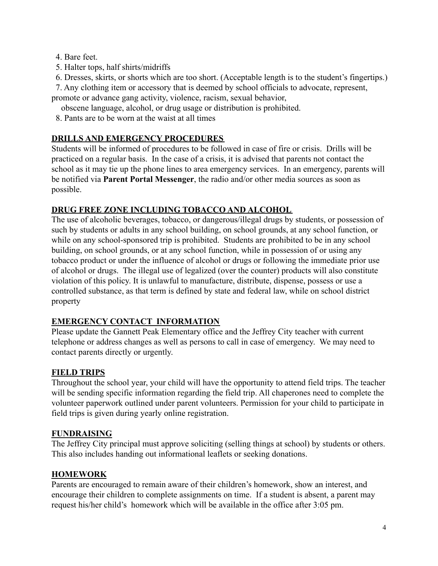4. Bare feet.

5. Halter tops, half shirts/midriffs

6. Dresses, skirts, or shorts which are too short. (Acceptable length is to the student's fingertips.)

7. Any clothing item or accessory that is deemed by school officials to advocate, represent,

promote or advance gang activity, violence, racism, sexual behavior,

obscene language, alcohol, or drug usage or distribution is prohibited.

8. Pants are to be worn at the waist at all times

# **DRILLS AND EMERGENCY PROCEDURES**

Students will be informed of procedures to be followed in case of fire or crisis. Drills will be practiced on a regular basis. In the case of a crisis, it is advised that parents not contact the school as it may tie up the phone lines to area emergency services. In an emergency, parents will be notified via **Parent Portal Messenger**, the radio and/or other media sources as soon as possible.

# **DRUG FREE ZONE INCLUDING TOBACCO AND ALCOHOL**

The use of alcoholic beverages, tobacco, or dangerous/illegal drugs by students, or possession of such by students or adults in any school building, on school grounds, at any school function, or while on any school-sponsored trip is prohibited. Students are prohibited to be in any school building, on school grounds, or at any school function, while in possession of or using any tobacco product or under the influence of alcohol or drugs or following the immediate prior use of alcohol or drugs. The illegal use of legalized (over the counter) products will also constitute violation of this policy. It is unlawful to manufacture, distribute, dispense, possess or use a controlled substance, as that term is defined by state and federal law, while on school district property

# **EMERGENCY CONTACT INFORMATION**

Please update the Gannett Peak Elementary office and the Jeffrey City teacher with current telephone or address changes as well as persons to call in case of emergency. We may need to contact parents directly or urgently.

# **FIELD TRIPS**

Throughout the school year, your child will have the opportunity to attend field trips. The teacher will be sending specific information regarding the field trip. All chaperones need to complete the volunteer paperwork outlined under parent volunteers. Permission for your child to participate in field trips is given during yearly online registration.

# **FUNDRAISING**

The Jeffrey City principal must approve soliciting (selling things at school) by students or others. This also includes handing out informational leaflets or seeking donations.

# **HOMEWORK**

Parents are encouraged to remain aware of their children's homework, show an interest, and encourage their children to complete assignments on time. If a student is absent, a parent may request his/her child's homework which will be available in the office after 3:05 pm.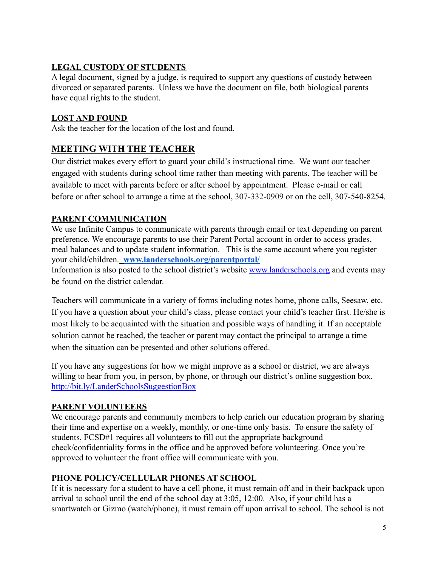# **LEGAL CUSTODY OF STUDENTS**

A legal document, signed by a judge, is required to support any questions of custody between divorced or separated parents. Unless we have the document on file, both biological parents have equal rights to the student.

# **LOST AND FOUND**

Ask the teacher for the location of the lost and found.

# **MEETING WITH THE TEACHER**

Our district makes every effort to guard your child's instructional time. We want our teacher engaged with students during school time rather than meeting with parents. The teacher will be available to meet with parents before or after school by appointment. Please e-mail or call before or after school to arrange a time at the school, 307-332-0909 or on the cell, 307-540-8254.

# **PARENT COMMUNICATION**

We use Infinite Campus to communicate with parents through email or text depending on parent preference. We encourage parents to use their Parent Portal account in order to access grades, meal balances and to update student information. This is the same account where you register your child/children. **[www.landerschools.org/parentportal/](http://www.landerschools.org/parentportal/)**

Information is also posted to the school district's website [www.landerschools.org](http://www.landerschools.org) and events may be found on the district calendar.

Teachers will communicate in a variety of forms including notes home, phone calls, Seesaw, etc. If you have a question about your child's class, please contact your child's teacher first. He/she is most likely to be acquainted with the situation and possible ways of handling it. If an acceptable solution cannot be reached, the teacher or parent may contact the principal to arrange a time when the situation can be presented and other solutions offered.

If you have any suggestions for how we might improve as a school or district, we are always willing to hear from you, in person, by phone, or through our district's online suggestion box. <http://bit.ly/LanderSchoolsSuggestionBox>

# **PARENT VOLUNTEERS**

We encourage parents and community members to help enrich our education program by sharing their time and expertise on a weekly, monthly, or one-time only basis. To ensure the safety of students, FCSD#1 requires all volunteers to fill out the appropriate background check/confidentiality forms in the office and be approved before volunteering. Once you're approved to volunteer the front office will communicate with you.

# **PHONE POLICY/CELLULAR PHONES AT SCHOOL**

If it is necessary for a student to have a cell phone, it must remain off and in their backpack upon arrival to school until the end of the school day at 3:05, 12:00. Also, if your child has a smartwatch or Gizmo (watch/phone), it must remain off upon arrival to school. The school is not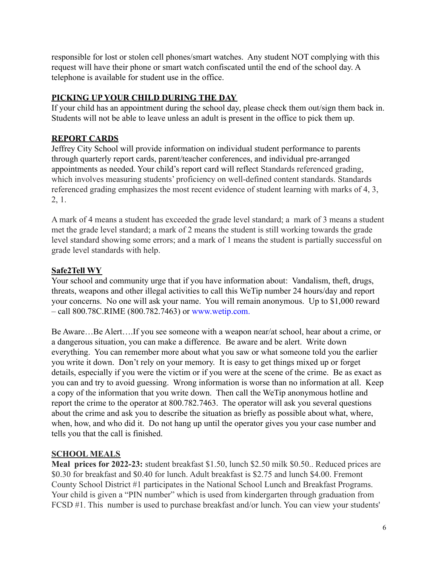responsible for lost or stolen cell phones/smart watches. Any student NOT complying with this request will have their phone or smart watch confiscated until the end of the school day. A telephone is available for student use in the office.

# **PICKING UP YOUR CHILD DURING THE DAY**

If your child has an appointment during the school day, please check them out/sign them back in. Students will not be able to leave unless an adult is present in the office to pick them up.

# **REPORT CARDS**

Jeffrey City School will provide information on individual student performance to parents through quarterly report cards, parent/teacher conferences, and individual pre-arranged appointments as needed. Your child's report card will reflect Standards referenced grading, which involves measuring students' proficiency on well-defined content standards. Standards referenced grading emphasizes the most recent evidence of student learning with marks of 4, 3, 2, 1.

A mark of 4 means a student has exceeded the grade level standard; a mark of 3 means a student met the grade level standard; a mark of 2 means the student is still working towards the grade level standard showing some errors; and a mark of 1 means the student is partially successful on grade level standards with help.

# **Safe2Tell WY**

Your school and community urge that if you have information about: Vandalism, theft, drugs, threats, weapons and other illegal activities to call this WeTip number 24 hours/day and report your concerns. No one will ask your name. You will remain anonymous. Up to \$1,000 reward – call 800.78C.RIME (800.782.7463) or [www.wetip.com.](http://www.wetip.com)

Be Aware…Be Alert….If you see someone with a weapon near/at school, hear about a crime, or a dangerous situation, you can make a difference. Be aware and be alert. Write down everything. You can remember more about what you saw or what someone told you the earlier you write it down. Don't rely on your memory. It is easy to get things mixed up or forget details, especially if you were the victim or if you were at the scene of the crime. Be as exact as you can and try to avoid guessing. Wrong information is worse than no information at all. Keep a copy of the information that you write down. Then call the WeTip anonymous hotline and report the crime to the operator at 800.782.7463. The operator will ask you several questions about the crime and ask you to describe the situation as briefly as possible about what, where, when, how, and who did it. Do not hang up until the operator gives you your case number and tells you that the call is finished.

# **SCHOOL MEALS**

**Meal prices for 2022-23:** student breakfast \$1.50, lunch \$2.50 milk \$0.50.. Reduced prices are \$0.30 for breakfast and \$0.40 for lunch. Adult breakfast is \$2.75 and lunch \$4.00. Fremont County School District #1 participates in the National School Lunch and Breakfast Programs. Your child is given a "PIN number" which is used from kindergarten through graduation from FCSD #1. This number is used to purchase breakfast and/or lunch. You can view your students'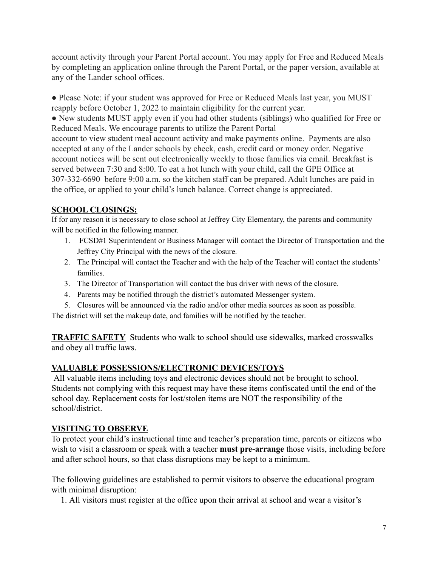account activity through your Parent Portal account. You may apply for Free and Reduced Meals by completing an application online through the Parent Portal, or the paper version, available at any of the Lander school offices.

• Please Note: if your student was approved for Free or Reduced Meals last year, you MUST reapply before October 1, 2022 to maintain eligibility for the current year.

• New students MUST apply even if you had other students (siblings) who qualified for Free or Reduced Meals. We encourage parents to utilize the Parent Portal account to view student meal account activity and make payments online. Payments are also accepted at any of the Lander schools by check, cash, credit card or money order. Negative account notices will be sent out electronically weekly to those families via email. Breakfast is

served between 7:30 and 8:00. To eat a hot lunch with your child, call the GPE Office at 307-332-6690 before 9:00 a.m. so the kitchen staff can be prepared. Adult lunches are paid in the office, or applied to your child's lunch balance. Correct change is appreciated.

# **SCHOOL CLOSINGS:**

If for any reason it is necessary to close school at Jeffrey City Elementary, the parents and community will be notified in the following manner.

- 1. FCSD#1 Superintendent or Business Manager will contact the Director of Transportation and the Jeffrey City Principal with the news of the closure.
- 2. The Principal will contact the Teacher and with the help of the Teacher will contact the students' families.
- 3. The Director of Transportation will contact the bus driver with news of the closure.
- 4. Parents may be notified through the district's automated Messenger system.
- 5. Closures will be announced via the radio and/or other media sources as soon as possible.

The district will set the makeup date, and families will be notified by the teacher.

**TRAFFIC SAFETY** Students who walk to school should use sidewalks, marked crosswalks and obey all traffic laws.

# **VALUABLE POSSESSIONS/ELECTRONIC DEVICES/TOYS**

All valuable items including toys and electronic devices should not be brought to school. Students not complying with this request may have these items confiscated until the end of the school day. Replacement costs for lost/stolen items are NOT the responsibility of the school/district.

# **VISITING TO OBSERVE**

To protect your child's instructional time and teacher's preparation time, parents or citizens who wish to visit a classroom or speak with a teacher **must pre-arrange** those visits, including before and after school hours, so that class disruptions may be kept to a minimum.

The following guidelines are established to permit visitors to observe the educational program with minimal disruption:

1. All visitors must register at the office upon their arrival at school and wear a visitor's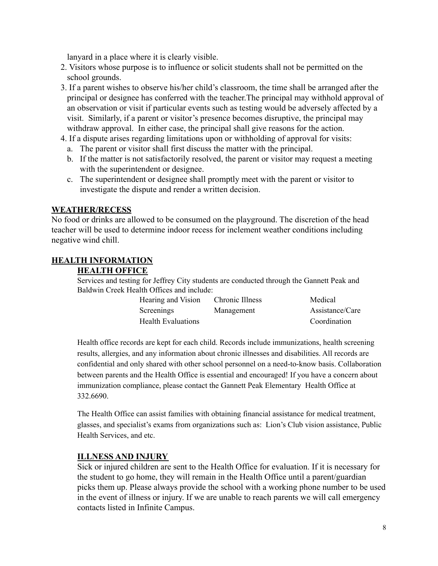lanyard in a place where it is clearly visible.

- 2. Visitors whose purpose is to influence or solicit students shall not be permitted on the school grounds.
- 3. If a parent wishes to observe his/her child's classroom, the time shall be arranged after the principal or designee has conferred with the teacher.The principal may withhold approval of an observation or visit if particular events such as testing would be adversely affected by a visit. Similarly, if a parent or visitor's presence becomes disruptive, the principal may withdraw approval. In either case, the principal shall give reasons for the action.
- 4. If a dispute arises regarding limitations upon or withholding of approval for visits:
	- a. The parent or visitor shall first discuss the matter with the principal.
	- b. If the matter is not satisfactorily resolved, the parent or visitor may request a meeting with the superintendent or designee.
	- c. The superintendent or designee shall promptly meet with the parent or visitor to investigate the dispute and render a written decision.

## **WEATHER/RECESS**

No food or drinks are allowed to be consumed on the playground. The discretion of the head teacher will be used to determine indoor recess for inclement weather conditions including negative wind chill.

## **HEALTH INFORMATION**

## **HEALTH OFFICE**

Services and testing for Jeffrey City students are conducted through the Gannett Peak and Baldwin Creek Health Offices and include:

| Hearing and Vision        | Chronic Illness | Medical         |
|---------------------------|-----------------|-----------------|
| Screenings                | Management      | Assistance/Care |
| <b>Health Evaluations</b> |                 | Coordination    |

Health office records are kept for each child. Records include immunizations, health screening results, allergies, and any information about chronic illnesses and disabilities. All records are confidential and only shared with other school personnel on a need-to-know basis. Collaboration between parents and the Health Office is essential and encouraged! If you have a concern about immunization compliance, please contact the Gannett Peak Elementary Health Office at 332.6690.

The Health Office can assist families with obtaining financial assistance for medical treatment, glasses, and specialist's exams from organizations such as: Lion's Club vision assistance, Public Health Services, and etc.

## **ILLNESS AND INJURY**

Sick or injured children are sent to the Health Office for evaluation. If it is necessary for the student to go home, they will remain in the Health Office until a parent/guardian picks them up. Please always provide the school with a working phone number to be used in the event of illness or injury. If we are unable to reach parents we will call emergency contacts listed in Infinite Campus.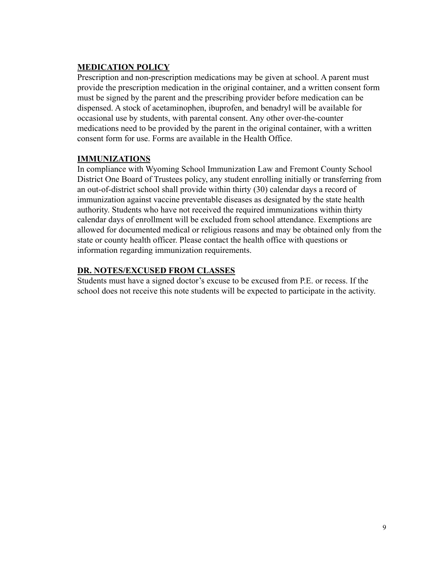## **MEDICATION POLICY**

Prescription and non-prescription medications may be given at school. A parent must provide the prescription medication in the original container, and a written consent form must be signed by the parent and the prescribing provider before medication can be dispensed. A stock of acetaminophen, ibuprofen, and benadryl will be available for occasional use by students, with parental consent. Any other over-the-counter medications need to be provided by the parent in the original container, with a written consent form for use. Forms are available in the Health Office.

## **IMMUNIZATIONS**

In compliance with Wyoming School Immunization Law and Fremont County School District One Board of Trustees policy, any student enrolling initially or transferring from an out-of-district school shall provide within thirty (30) calendar days a record of immunization against vaccine preventable diseases as designated by the state health authority. Students who have not received the required immunizations within thirty calendar days of enrollment will be excluded from school attendance. Exemptions are allowed for documented medical or religious reasons and may be obtained only from the state or county health officer. Please contact the health office with questions or information regarding immunization requirements.

## **DR. NOTES/EXCUSED FROM CLASSES**

Students must have a signed doctor's excuse to be excused from P.E. or recess. If the school does not receive this note students will be expected to participate in the activity.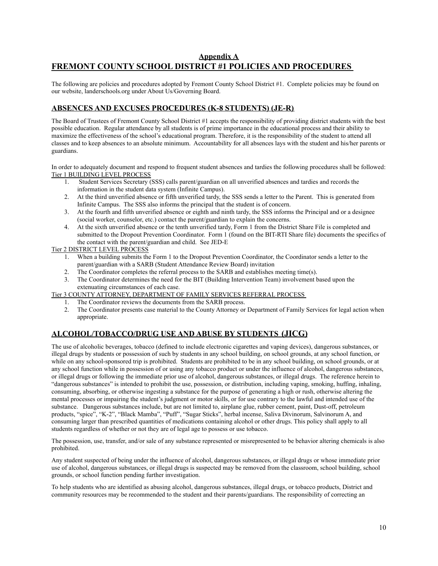## **Appendix A FREMONT COUNTY SCHOOL DISTRICT #1 POLICIES AND PROCEDURES**

The following are policies and procedures adopted by Fremont County School District #1. Complete policies may be found on our website, landerschools.org under About Us/Governing Board.

## **ABSENCES AND EXCUSES PROCEDURES (K-8 STUDENTS) (JE-R)**

The Board of Trustees of Fremont County School District #1 accepts the responsibility of providing district students with the best possible education. Regular attendance by all students is of prime importance in the educational process and their ability to maximize the effectiveness of the school's educational program. Therefore, it is the responsibility of the student to attend all classes and to keep absences to an absolute minimum. Accountability for all absences lays with the student and his/her parents or guardians.

In order to adequately document and respond to frequent student absences and tardies the following procedures shall be followed: Tier 1 BUILDING LEVEL PROCESS

- 1. Student Services Secretary (SSS) calls parent/guardian on all unverified absences and tardies and records the information in the student data system (Infinite Campus).
- 2. At the third unverified absence or fifth unverified tardy, the SSS sends a letter to the Parent. This is generated from Infinite Campus. The SSS also informs the principal that the student is of concern.
- 3. At the fourth and fifth unverified absence or eighth and ninth tardy, the SSS informs the Principal and or a designee (social worker, counselor, etc.) contact the parent/guardian to explain the concerns.
- 4. At the sixth unverified absence or the tenth unverified tardy, Form 1 from the District Share File is completed and submitted to the Dropout Prevention Coordinator. Form 1 (found on the BIT-RTI Share file) documents the specifics of the contact with the parent/guardian and child. See JED-E

## Tier 2 DISTRICT LEVEL PROCESS

- 1. When a building submits the Form 1 to the Dropout Prevention Coordinator, the Coordinator sends a letter to the parent/guardian with a SARB (Student Attendance Review Board) invitation
- 2. The Coordinator completes the referral process to the SARB and establishes meeting time(s).
- 3. The Coordinator determines the need for the BIT (Building Intervention Team) involvement based upon the extenuating circumstances of each case.

Tier 3 COUNTY ATTORNEY, DEPARTMENT OF FAMILY SERVICES REFERRAL PROCESS

- 1. The Coordinator reviews the documents from the SARB process.
- 2. The Coordinator presents case material to the County Attorney or Department of Family Services for legal action when appropriate.

## **ALCOHOL/TOBACCO/DRUG USE AND ABUSE BY STUDENTS (JICG)**

The use of alcoholic beverages, tobacco (defined to include electronic cigarettes and vaping devices), dangerous substances, or illegal drugs by students or possession of such by students in any school building, on school grounds, at any school function, or while on any school-sponsored trip is prohibited. Students are prohibited to be in any school building, on school grounds, or at any school function while in possession of or using any tobacco product or under the influence of alcohol, dangerous substances, or illegal drugs or following the immediate prior use of alcohol, dangerous substances, or illegal drugs. The reference herein to "dangerous substances" is intended to prohibit the use, possession, or distribution, including vaping, smoking, huffing, inhaling, consuming, absorbing, or otherwise ingesting a substance for the purpose of generating a high or rush, otherwise altering the mental processes or impairing the student's judgment or motor skills, or for use contrary to the lawful and intended use of the substance. Dangerous substances include, but are not limited to, airplane glue, rubber cement, paint, Dust-off, petroleum products, "spice", "K-2", "Black Mamba", "Puff", "Sugar Sticks", herbal incense, Saliva Divinorum, Salvinorum A, and consuming larger than prescribed quantities of medications containing alcohol or other drugs. This policy shall apply to all students regardless of whether or not they are of legal age to possess or use tobacco.

The possession, use, transfer, and/or sale of any substance represented or misrepresented to be behavior altering chemicals is also prohibited.

Any student suspected of being under the influence of alcohol, dangerous substances, or illegal drugs or whose immediate prior use of alcohol, dangerous substances, or illegal drugs is suspected may be removed from the classroom, school building, school grounds, or school function pending further investigation.

To help students who are identified as abusing alcohol, dangerous substances, illegal drugs, or tobacco products, District and community resources may be recommended to the student and their parents/guardians. The responsibility of correcting an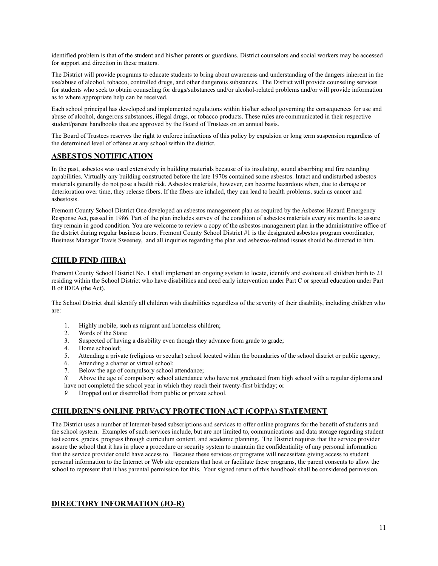identified problem is that of the student and his/her parents or guardians. District counselors and social workers may be accessed for support and direction in these matters.

The District will provide programs to educate students to bring about awareness and understanding of the dangers inherent in the use/abuse of alcohol, tobacco, controlled drugs, and other dangerous substances. The District will provide counseling services for students who seek to obtain counseling for drugs/substances and/or alcohol-related problems and/or will provide information as to where appropriate help can be received.

Each school principal has developed and implemented regulations within his/her school governing the consequences for use and abuse of alcohol, dangerous substances, illegal drugs, or tobacco products. These rules are communicated in their respective student/parent handbooks that are approved by the Board of Trustees on an annual basis.

The Board of Trustees reserves the right to enforce infractions of this policy by expulsion or long term suspension regardless of the determined level of offense at any school within the district.

## **ASBESTOS NOTIFICATION**

In the past, asbestos was used extensively in building materials because of its insulating, sound absorbing and fire retarding capabilities. Virtually any building constructed before the late 1970s contained some asbestos. Intact and undisturbed asbestos materials generally do not pose a health risk. Asbestos materials, however, can become hazardous when, due to damage or deterioration over time, they release fibers. If the fibers are inhaled, they can lead to health problems, such as cancer and asbestosis.

Fremont County School District One developed an asbestos management plan as required by the Asbestos Hazard Emergency Response Act, passed in 1986. Part of the plan includes survey of the condition of asbestos materials every six months to assure they remain in good condition. You are welcome to review a copy of the asbestos management plan in the administrative office of the district during regular business hours. Fremont County School District #1 is the designated asbestos program coordinator, Business Manager Travis Sweeney, and all inquiries regarding the plan and asbestos-related issues should be directed to him.

## **CHILD FIND (IHBA)**

Fremont County School District No. 1 shall implement an ongoing system to locate, identify and evaluate all children birth to 21 residing within the School District who have disabilities and need early intervention under Part C or special education under Part B of IDEA (the Act).

The School District shall identify all children with disabilities regardless of the severity of their disability, including children who are:

- 1. Highly mobile, such as migrant and homeless children;
- 2. Wards of the State;
- 3. Suspected of having a disability even though they advance from grade to grade;
- 4. Home schooled;
- 5. Attending a private (religious or secular) school located within the boundaries of the school district or public agency;
- 6. Attending a charter or virtual school;
- 7. Below the age of compulsory school attendance;
- *8.* Above the age of compulsory school attendance who have not graduated from high school with a regular diploma and have not completed the school year in which they reach their twenty-first birthday; or
- *9.* Dropped out or disenrolled from public or private school.

## **CHILDREN'S ONLINE PRIVACY PROTECTION ACT (COPPA) STATEMENT**

The District uses a number of Internet-based subscriptions and services to offer online programs for the benefit of students and the school system. Examples of such services include, but are not limited to, communications and data storage regarding student test scores, grades, progress through curriculum content, and academic planning. The District requires that the service provider assure the school that it has in place a procedure or security system to maintain the confidentiality of any personal information that the service provider could have access to. Because these services or programs will necessitate giving access to student personal information to the Internet or Web site operators that host or facilitate these programs, the parent consents to allow the school to represent that it has parental permission for this. Your signed return of this handbook shall be considered permission.

## **DIRECTORY INFORMATION (JO-R)**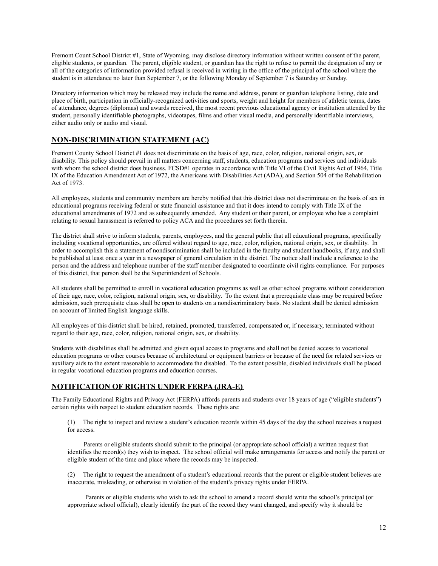Fremont Count School District #1, State of Wyoming, may disclose directory information without written consent of the parent, eligible students, or guardian. The parent, eligible student, or guardian has the right to refuse to permit the designation of any or all of the categories of information provided refusal is received in writing in the office of the principal of the school where the student is in attendance no later than September 7, or the following Monday of September 7 is Saturday or Sunday.

Directory information which may be released may include the name and address, parent or guardian telephone listing, date and place of birth, participation in officially-recognized activities and sports, weight and height for members of athletic teams, dates of attendance, degrees (diplomas) and awards received, the most recent previous educational agency or institution attended by the student, personally identifiable photographs, videotapes, films and other visual media, and personally identifiable interviews, either audio only or audio and visual.

## **NON-DISCRIMINATION STATEMENT (AC)**

Fremont County School District #1 does not discriminate on the basis of age, race, color, religion, national origin, sex, or disability. This policy should prevail in all matters concerning staff, students, education programs and services and individuals with whom the school district does business. FCSD#1 operates in accordance with Title VI of the Civil Rights Act of 1964, Title IX of the Education Amendment Act of 1972, the Americans with Disabilities Act (ADA), and Section 504 of the Rehabilitation Act of 1973.

All employees, students and community members are hereby notified that this district does not discriminate on the basis of sex in educational programs receiving federal or state financial assistance and that it does intend to comply with Title IX of the educational amendments of 1972 and as subsequently amended. Any student or their parent, or employee who has a complaint relating to sexual harassment is referred to policy ACA and the procedures set forth therein.

The district shall strive to inform students, parents, employees, and the general public that all educational programs, specifically including vocational opportunities, are offered without regard to age, race, color, religion, national origin, sex, or disability. In order to accomplish this a statement of nondiscrimination shall be included in the faculty and student handbooks, if any, and shall be published at least once a year in a newspaper of general circulation in the district. The notice shall include a reference to the person and the address and telephone number of the staff member designated to coordinate civil rights compliance. For purposes of this district, that person shall be the Superintendent of Schools.

All students shall be permitted to enroll in vocational education programs as well as other school programs without consideration of their age, race, color, religion, national origin, sex, or disability. To the extent that a prerequisite class may be required before admission, such prerequisite class shall be open to students on a nondiscriminatory basis. No student shall be denied admission on account of limited English language skills.

All employees of this district shall be hired, retained, promoted, transferred, compensated or, if necessary, terminated without regard to their age, race, color, religion, national origin, sex, or disability.

Students with disabilities shall be admitted and given equal access to programs and shall not be denied access to vocational education programs or other courses because of architectural or equipment barriers or because of the need for related services or auxiliary aids to the extent reasonable to accommodate the disabled. To the extent possible, disabled individuals shall be placed in regular vocational education programs and education courses.

## **NOTIFICATION OF RIGHTS UNDER FERPA (JRA-E)**

The Family Educational Rights and Privacy Act (FERPA) affords parents and students over 18 years of age ("eligible students") certain rights with respect to student education records. These rights are:

(1) The right to inspect and review a student's education records within 45 days of the day the school receives a request for access.

 Parents or eligible students should submit to the principal (or appropriate school official) a written request that identifies the record(s) they wish to inspect. The school official will make arrangements for access and notify the parent or eligible student of the time and place where the records may be inspected.

(2) The right to request the amendment of a student's educational records that the parent or eligible student believes are inaccurate, misleading, or otherwise in violation of the student's privacy rights under FERPA.

Parents or eligible students who wish to ask the school to amend a record should write the school's principal (or appropriate school official), clearly identify the part of the record they want changed, and specify why it should be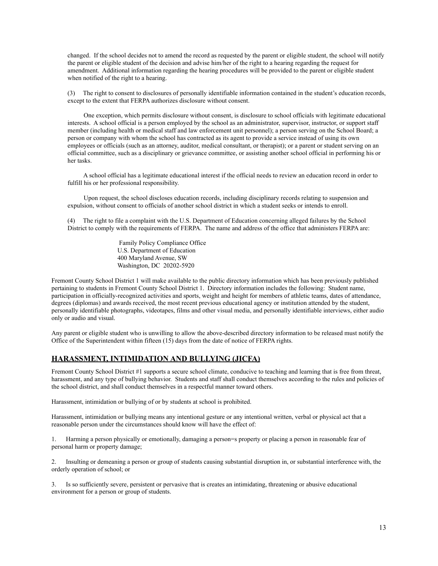changed. If the school decides not to amend the record as requested by the parent or eligible student, the school will notify the parent or eligible student of the decision and advise him/her of the right to a hearing regarding the request for amendment. Additional information regarding the hearing procedures will be provided to the parent or eligible student when notified of the right to a hearing.

(3) The right to consent to disclosures of personally identifiable information contained in the student's education records, except to the extent that FERPA authorizes disclosure without consent.

 One exception, which permits disclosure without consent, is disclosure to school officials with legitimate educational interests. A school official is a person employed by the school as an administrator, supervisor, instructor, or support staff member (including health or medical staff and law enforcement unit personnel); a person serving on the School Board; a person or company with whom the school has contracted as its agent to provide a service instead of using its own employees or officials (such as an attorney, auditor, medical consultant, or therapist); or a parent or student serving on an official committee, such as a disciplinary or grievance committee, or assisting another school official in performing his or her tasks.

A school official has a legitimate educational interest if the official needs to review an education record in order to fulfill his or her professional responsibility.

 Upon request, the school discloses education records, including disciplinary records relating to suspension and expulsion, without consent to officials of another school district in which a student seeks or intends to enroll.

(4) The right to file a complaint with the U.S. Department of Education concerning alleged failures by the School District to comply with the requirements of FERPA. The name and address of the office that administers FERPA are:

> Family Policy Compliance Office U.S. Department of Education 400 Maryland Avenue, SW Washington, DC 20202-5920

Fremont County School District 1 will make available to the public directory information which has been previously published pertaining to students in Fremont County School District 1. Directory information includes the following: Student name, participation in officially-recognized activities and sports, weight and height for members of athletic teams, dates of attendance, degrees (diplomas) and awards received, the most recent previous educational agency or institution attended by the student, personally identifiable photographs, videotapes, films and other visual media, and personally identifiable interviews, either audio only or audio and visual.

Any parent or eligible student who is unwilling to allow the above-described directory information to be released must notify the Office of the Superintendent within fifteen (15) days from the date of notice of FERPA rights.

## **HARASSMENT, INTIMIDATION AND BULLYING (JICFA)**

Fremont County School District #1 supports a secure school climate, conducive to teaching and learning that is free from threat, harassment, and any type of bullying behavior. Students and staff shall conduct themselves according to the rules and policies of the school district, and shall conduct themselves in a respectful manner toward others.

Harassment, intimidation or bullying of or by students at school is prohibited.

Harassment, intimidation or bullying means any intentional gesture or any intentional written, verbal or physical act that a reasonable person under the circumstances should know will have the effect of:

Harming a person physically or emotionally, damaging a person=s property or placing a person in reasonable fear of personal harm or property damage;

2. Insulting or demeaning a person or group of students causing substantial disruption in, or substantial interference with, the orderly operation of school; or

3. Is so sufficiently severe, persistent or pervasive that is creates an intimidating, threatening or abusive educational environment for a person or group of students.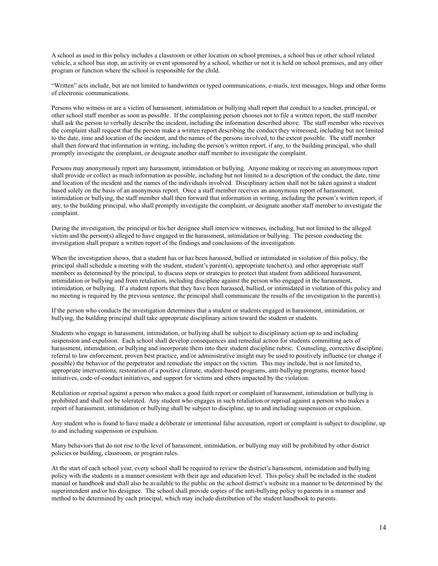A school as used in this policy includes a classroom or other location on school premises, a school bus or other school related vehicle, a school bus stop, an activity or event sponsored by a school, whether or not it is held on school premises, and any other program or function where the school is responsible for the child.

"Written" acts include, but are not limited to handwritten or typed communications, e-mails, text messages, blogs and other forms of electronic communications.

Persons who witness or are a victim of harassment, intimidation or bullying shall report that conduct to a teacher, principal, or other school staff member as soon as possible. If the complaining person chooses not to file a written report, the staff member shall ask the person to verbally describe the incident, including the information described above. The staff member who receives the complaint shall request that the person make a written report describing the conduct they witnessed, including but not limited to the date, time and location of the incident, and the names of the persons involved, to the extent possible. The staff member shall then forward that information in writing, including the person's written report, if any, to the building principal, who shall promptly investigate the complaint, or designate another staff member to investigate the complaint.

Persons may anonymously report any harassment, intimidation or bullying. Anyone making or receiving an anonymous report shall provide or collect as much information as possible, including but not limited to a description of the conduct, the date, time and location of the incident and the names of the individuals involved. Disciplinary action shall not be taken against a student based solely on the basis of an anonymous report. Once a staff member receives an anonymous report of harassment, intimidation or bullying, the staff member shall then forward that information in writing, including the person's written report, if any, to the building principal, who shall promptly investigate the complaint, or designate another staff member to investigate the complaint.

During the investigation, the principal or his/her designee shall interview witnesses, including, but not limited to the alleged victim and the person(s) alleged to have engaged in the harassment, intimidation or bullying. The person conducting the investigation shall prepare a written report of the findings and conclusions of the investigation.

When the investigation shows, that a student has or has been harassed, bullied or intimidated in violation of this policy, the principal shall schedule a meeting with the student, student's parent(s), appropriate teacher(s), and other appropriate staff members as determined by the principal, to discuss steps or strategies to protect that student from additional harassment, intimidation or bullying and from retaliation, including discipline against the person who engaged in the harassment, intimidation, or bullying. If a student reports that they have been harassed, bullied, or intimidated in violation of this policy and no meeting is required by the previous sentence, the principal shall communicate the results of the investigation to the parent(s).

If the person who conducts the investigation determines that a student or students engaged in harassment, intimidation, or bullying, the building principal shall take appropriate disciplinary action toward the student or students.

Students who engage in harassment, intimidation, or bullying shall be subject to disciplinary action up to and including suspension and expulsion. Each school shall develop consequences and remedial action for students committing acts of harassment, intimidation, or bullying and incorporate them into their student discipline rubric. Counseling, corrective discipline, referral to law enforcement, proven best practice, and/or administrative insight may be used to positively influence (or change if possible) the behavior of the perpetrator and remediate the impact on the victim. This may include, but is not limited to, appropriate interventions, restoration of a positive climate, student-based programs, anti-bullying programs, mentor based initiatives, code-of-conduct initiatives, and support for victims and others impacted by the violation.

Retaliation or reprisal against a person who makes a good faith report or complaint of harassment, intimidation or bullying is prohibited and shall not be tolerated. Any student who engages in such retaliation or reprisal against a person who makes a report of harassment, intimidation or bullying shall be subject to discipline, up to and including suspension or expulsion.

Any student who is found to have made a deliberate or intentional false accusation, report or complaint is subject to discipline, up to and including suspension or expulsion.

Many behaviors that do not rise to the level of harassment, intimidation, or bullying may still be prohibited by other district policies or building, classroom, or program rules.

At the start of each school year, every school shall be required to review the district's harassment, intimidation and bullying policy with the students in a manner consistent with their age and education level. This policy shall be included in the student manual or handbook and shall also be available to the public on the school district's website in a manner to be determined by the superintendent and/or his designee. The school shall provide copies of the anti-bullying policy to parents in a manner and method to be determined by each principal, which may include distribution of the student handbook to parents.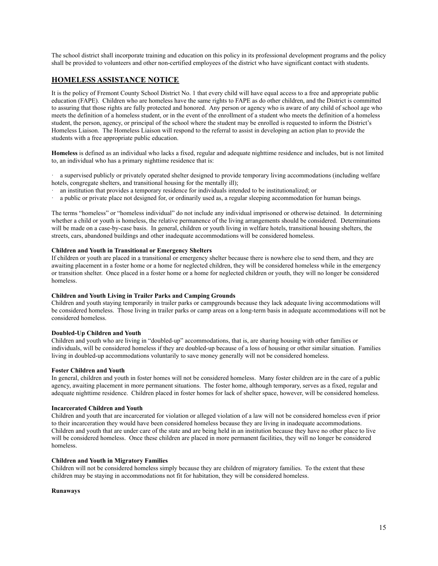The school district shall incorporate training and education on this policy in its professional development programs and the policy shall be provided to volunteers and other non-certified employees of the district who have significant contact with students.

## **HOMELESS ASSISTANCE NOTICE**

It is the policy of Fremont County School District No. 1 that every child will have equal access to a free and appropriate public education (FAPE). Children who are homeless have the same rights to FAPE as do other children, and the District is committed to assuring that those rights are fully protected and honored. Any person or agency who is aware of any child of school age who meets the definition of a homeless student, or in the event of the enrollment of a student who meets the definition of a homeless student, the person, agency, or principal of the school where the student may be enrolled is requested to inform the District's Homeless Liaison. The Homeless Liaison will respond to the referral to assist in developing an action plan to provide the students with a free appropriate public education.

**Homeless** is defined as an individual who lacks a fixed, regular and adequate nighttime residence and includes, but is not limited to, an individual who has a primary nighttime residence that is:

a supervised publicly or privately operated shelter designed to provide temporary living accommodations (including welfare hotels, congregate shelters, and transitional housing for the mentally ill);

- · an institution that provides a temporary residence for individuals intended to be institutionalized; or
- a public or private place not designed for, or ordinarily used as, a regular sleeping accommodation for human beings.

The terms "homeless" or "homeless individual" do not include any individual imprisoned or otherwise detained. In determining whether a child or youth is homeless, the relative permanence of the living arrangements should be considered. Determinations will be made on a case-by-case basis. In general, children or youth living in welfare hotels, transitional housing shelters, the streets, cars, abandoned buildings and other inadequate accommodations will be considered homeless.

#### **Children and Youth in Transitional or Emergency Shelters**

If children or youth are placed in a transitional or emergency shelter because there is nowhere else to send them, and they are awaiting placement in a foster home or a home for neglected children, they will be considered homeless while in the emergency or transition shelter. Once placed in a foster home or a home for neglected children or youth, they will no longer be considered homeless.

#### **Children and Youth Living in Trailer Parks and Camping Grounds**

Children and youth staying temporarily in trailer parks or campgrounds because they lack adequate living accommodations will be considered homeless. Those living in trailer parks or camp areas on a long-term basis in adequate accommodations will not be considered homeless.

#### **Doubled-Up Children and Youth**

Children and youth who are living in "doubled-up" accommodations, that is, are sharing housing with other families or individuals, will be considered homeless if they are doubled-up because of a loss of housing or other similar situation. Families living in doubled-up accommodations voluntarily to save money generally will not be considered homeless.

#### **Foster Children and Youth**

In general, children and youth in foster homes will not be considered homeless. Many foster children are in the care of a public agency, awaiting placement in more permanent situations. The foster home, although temporary, serves as a fixed, regular and adequate nighttime residence. Children placed in foster homes for lack of shelter space, however, will be considered homeless.

#### **Incarcerated Children and Youth**

Children and youth that are incarcerated for violation or alleged violation of a law will not be considered homeless even if prior to their incarceration they would have been considered homeless because they are living in inadequate accommodations. Children and youth that are under care of the state and are being held in an institution because they have no other place to live will be considered homeless. Once these children are placed in more permanent facilities, they will no longer be considered homeless.

#### **Children and Youth in Migratory Families**

Children will not be considered homeless simply because they are children of migratory families. To the extent that these children may be staying in accommodations not fit for habitation, they will be considered homeless.

### **Runaways**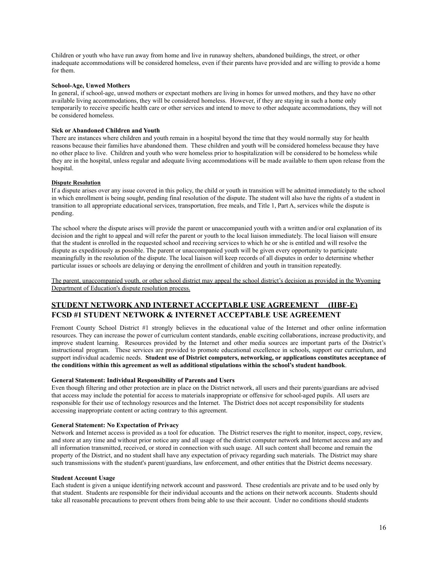Children or youth who have run away from home and live in runaway shelters, abandoned buildings, the street, or other inadequate accommodations will be considered homeless, even if their parents have provided and are willing to provide a home for them.

#### **School-Age, Unwed Mothers**

In general, if school-age, unwed mothers or expectant mothers are living in homes for unwed mothers, and they have no other available living accommodations, they will be considered homeless. However, if they are staying in such a home only temporarily to receive specific health care or other services and intend to move to other adequate accommodations, they will not be considered homeless.

#### **Sick or Abandoned Children and Youth**

There are instances where children and youth remain in a hospital beyond the time that they would normally stay for health reasons because their families have abandoned them. These children and youth will be considered homeless because they have no other place to live. Children and youth who were homeless prior to hospitalization will be considered to be homeless while they are in the hospital, unless regular and adequate living accommodations will be made available to them upon release from the hospital.

#### **Dispute Resolution**

If a dispute arises over any issue covered in this policy, the child or youth in transition will be admitted immediately to the school in which enrollment is being sought, pending final resolution of the dispute. The student will also have the rights of a student in transition to all appropriate educational services, transportation, free meals, and Title 1, Part A, services while the dispute is pending.

The school where the dispute arises will provide the parent or unaccompanied youth with a written and/or oral explanation of its decision and the right to appeal and will refer the parent or youth to the local liaison immediately. The local liaison will ensure that the student is enrolled in the requested school and receiving services to which he or she is entitled and will resolve the dispute as expeditiously as possible. The parent or unaccompanied youth will be given every opportunity to participate meaningfully in the resolution of the dispute. The local liaison will keep records of all disputes in order to determine whether particular issues or schools are delaying or denying the enrollment of children and youth in transition repeatedly.

The parent, unaccompanied youth, or other school district may appeal the school district's decision as provided in the Wyoming Department of Education's dispute resolution process.

## **STUDENT NETWORK AND INTERNET ACCEPTABLE USE AGREEMENT (IIBF-E) FCSD #1 STUDENT NETWORK & INTERNET ACCEPTABLE USE AGREEMENT**

Fremont County School District #1 strongly believes in the educational value of the Internet and other online information resources. They can increase the power of curriculum content standards, enable exciting collaborations, increase productivity, and improve student learning. Resources provided by the Internet and other media sources are important parts of the District's instructional program. These services are provided to promote educational excellence in schools, support our curriculum, and support individual academic needs. **Student use of District computers, networking, or applications constitutes acceptance of the conditions within this agreement as well as additional stipulations within the school's student handbook**.

#### **General Statement: Individual Responsibility of Parents and Users**

Even though filtering and other protection are in place on the District network, all users and their parents/guardians are advised that access may include the potential for access to materials inappropriate or offensive for school-aged pupils. All users are responsible for their use of technology resources and the Internet. The District does not accept responsibility for students accessing inappropriate content or acting contrary to this agreement.

#### **General Statement: No Expectation of Privacy**

Network and Internet access is provided as a tool for education. The District reserves the right to monitor, inspect, copy, review, and store at any time and without prior notice any and all usage of the district computer network and Internet access and any and all information transmitted, received, or stored in connection with such usage. All such content shall become and remain the property of the District, and no student shall have any expectation of privacy regarding such materials. The District may share such transmissions with the student's parent/guardians, law enforcement, and other entities that the District deems necessary.

#### **Student Account Usage**

Each student is given a unique identifying network account and password. These credentials are private and to be used only by that student. Students are responsible for their individual accounts and the actions on their network accounts. Students should take all reasonable precautions to prevent others from being able to use their account. Under no conditions should students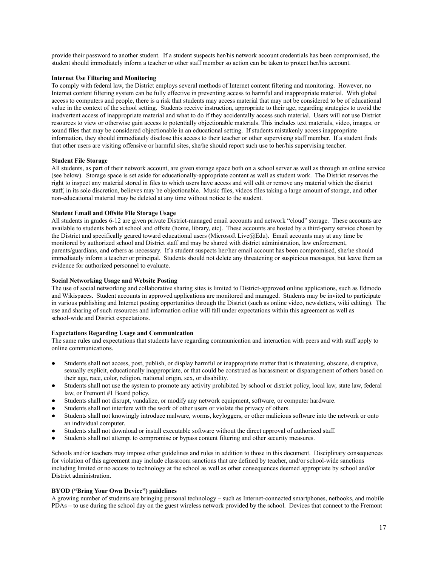provide their password to another student. If a student suspects her/his network account credentials has been compromised, the student should immediately inform a teacher or other staff member so action can be taken to protect her/his account.

### **Internet Use Filtering and Monitoring**

To comply with federal law, the District employs several methods of Internet content filtering and monitoring. However, no Internet content filtering system can be fully effective in preventing access to harmful and inappropriate material. With global access to computers and people, there is a risk that students may access material that may not be considered to be of educational value in the context of the school setting. Students receive instruction, appropriate to their age, regarding strategies to avoid the inadvertent access of inappropriate material and what to do if they accidentally access such material. Users will not use District resources to view or otherwise gain access to potentially objectionable materials. This includes text materials, video, images, or sound files that may be considered objectionable in an educational setting. If students mistakenly access inappropriate information, they should immediately disclose this access to their teacher or other supervising staff member. If a student finds that other users are visiting offensive or harmful sites, she/he should report such use to her/his supervising teacher.

#### **Student File Storage**

All students, as part of their network account, are given storage space both on a school server as well as through an online service (see below). Storage space is set aside for educationally-appropriate content as well as student work. The District reserves the right to inspect any material stored in files to which users have access and will edit or remove any material which the district staff, in its sole discretion, believes may be objectionable. Music files, videos files taking a large amount of storage, and other non-educational material may be deleted at any time without notice to the student.

#### **Student Email and Offsite File Storage Usage**

All students in grades 6-12 are given private District-managed email accounts and network "cloud" storage. These accounts are available to students both at school and offsite (home, library, etc). These accounts are hosted by a third-party service chosen by the District and specifically geared toward educational users (Microsoft Live@Edu). Email accounts may at any time be monitored by authorized school and District staff and may be shared with district administration, law enforcement, parents/guardians, and others as necessary. If a student suspects her/her email account has been compromised, she/he should immediately inform a teacher or principal. Students should not delete any threatening or suspicious messages, but leave them as evidence for authorized personnel to evaluate.

#### **Social Networking Usage and Website Posting**

The use of social networking and collaborative sharing sites is limited to District-approved online applications, such as Edmodo and Wikispaces. Student accounts in approved applications are monitored and managed. Students may be invited to participate in various publishing and Internet posting opportunities through the District (such as online video, newsletters, wiki editing). The use and sharing of such resources and information online will fall under expectations within this agreement as well as school-wide and District expectations.

#### **Expectations Regarding Usage and Communication**

The same rules and expectations that students have regarding communication and interaction with peers and with staff apply to online communications.

- Students shall not access, post, publish, or display harmful or inappropriate matter that is threatening, obscene, disruptive, sexually explicit, educationally inappropriate, or that could be construed as harassment or disparagement of others based on their age, race, color, religion, national origin, sex, or disability.
- Students shall not use the system to promote any activity prohibited by school or district policy, local law, state law, federal law, or Fremont #1 Board policy.
- Students shall not disrupt, vandalize, or modify any network equipment, software, or computer hardware.
- Students shall not interfere with the work of other users or violate the privacy of others.
- Students shall not knowingly introduce malware, worms, keyloggers, or other malicious software into the network or onto an individual computer.
- Students shall not download or install executable software without the direct approval of authorized staff.
- Students shall not attempt to compromise or bypass content filtering and other security measures.

Schools and/or teachers may impose other guidelines and rules in addition to those in this document. Disciplinary consequences for violation of this agreement may include classroom sanctions that are defined by teacher, and/or school-wide sanctions including limited or no access to technology at the school as well as other consequences deemed appropriate by school and/or District administration.

## **BYOD ("Bring Your Own Device") guidelines**

A growing number of students are bringing personal technology – such as Internet-connected smartphones, netbooks, and mobile PDAs – to use during the school day on the guest wireless network provided by the school. Devices that connect to the Fremont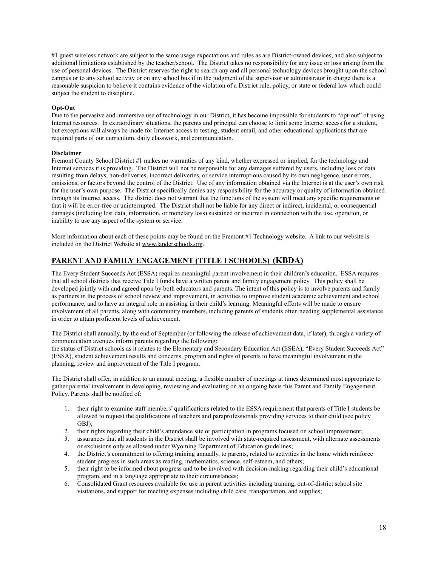#1 guest wireless network are subject to the same usage expectations and rules as are District-owned devices, and also subject to additional limitations established by the teacher/school. The District takes no responsibility for any issue or loss arising from the use of personal devices. The District reserves the right to search any and all personal technology devices brought upon the school campus or to any school activity or on any school bus if in the judgment of the supervisor or administrator in charge there is a reasonable suspicion to believe it contains evidence of the violation of a District rule, policy, or state or federal law which could subject the student to discipline.

#### **Opt-Out**

Due to the pervasive and immersive use of technology in our District, it has become impossible for students to "opt-out" of using Internet resources. In extraordinary situations, the parents and principal can choose to limit some Internet access for a student, but exceptions will always be made for Internet access to testing, student email, and other educational applications that are required parts of our curriculum, daily classwork, and communication.

#### **Disclaimer**

Fremont County School District #1 makes no warranties of any kind, whether expressed or implied, for the technology and Internet services it is providing. The District will not be responsible for any damages suffered by users, including loss of data resulting from delays, non-deliveries, incorrect deliveries, or service interruptions caused by its own negligence, user errors, omissions, or factors beyond the control of the District. Use of any information obtained via the Internet is at the user's own risk for the user's own purpose. The District specifically denies any responsibility for the accuracy or quality of information obtained through its Internet access. The district does not warrant that the functions of the system will meet any specific requirements or that it will be error-free or uninterrupted. The District shall not be liable for any direct or indirect, incidental, or consequential damages (including lost data, information, or monetary loss) sustained or incurred in connection with the use, operation, or inability to use any aspect of the system or service.

More information about each of these points may be found on the Fremont #1 Technology website. A link to our website is included on the District Website at [www.landerschools.org](http://www.landerschools.org).

## **PARENT AND FAMILY ENGAGEMENT (TITLE I SCHOOLS) (KBDA)**

The Every Student Succeeds Act (ESSA) requires meaningful parent involvement in their children's education. ESSA requires that all school districts that receive Title I funds have a written parent and family engagement policy. This policy shall be developed jointly with and agreed upon by both educators and parents. The intent of this policy is to involve parents and family as partners in the process of school review and improvement, in activities to improve student academic achievement and school performance, and to have an integral role in assisting in their child's learning. Meaningful efforts will be made to ensure involvement of all parents, along with community members, including parents of students often needing supplemental assistance in order to attain proficient levels of achievement.

The District shall annually, by the end of September (or following the release of achievement data, if later), through a variety of communication avenues inform parents regarding the following:

the status of District schools as it relates to the Elementary and Secondary Education Act (ESEA), "Every Student Succeeds Act" (ESSA), student achievement results and concerns, program and rights of parents to have meaningful involvement in the planning, review and improvement of the Title I program.

The District shall offer, in addition to an annual meeting, a flexible number of meetings at times determined most appropriate to gather parental involvement in developing, reviewing and evaluating on an ongoing basis this Parent and Family Engagement Policy. Parents shall be notified of:

- 1. their right to examine staff members' qualifications related to the ESSA requirement that parents of Title I students be allowed to request the qualifications of teachers and paraprofessionals providing services to their child (see policy GBJ);
- 2. their rights regarding their child's attendance site or participation in programs focused on school improvement;
- 3. assurances that all students in the District shall be involved with state-required assessment, with alternate assessments or exclusions only as allowed under Wyoming Department of Education guidelines;
- 4. the District's commitment to offering training annually, to parents, related to activities in the home which reinforce student progress in such areas as reading, mathematics, science, self-esteem, and others;
- 5. their right to be informed about progress and to be involved with decision-making regarding their child's educational program, and in a language appropriate to their circumstances;
- 6. Consolidated Grant resources available for use in parent activities including training, out-of-district school site visitations, and support for meeting expenses including child care, transportation, and supplies;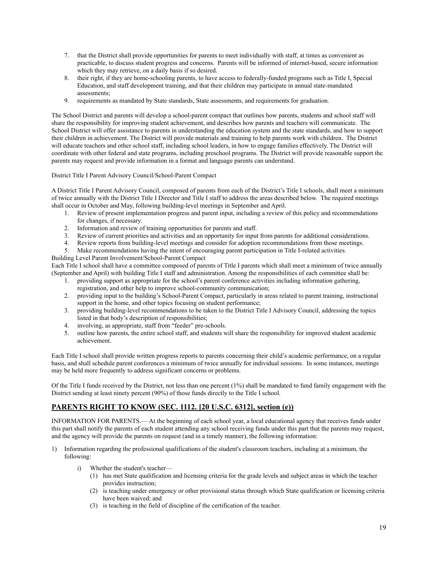- 7. that the District shall provide opportunities for parents to meet individually with staff, at times as convenient as practicable, to discuss student progress and concerns. Parents will be informed of internet-based, secure information which they may retrieve, on a daily basis if so desired.
- 8. their right, if they are home-schooling parents, to have access to federally-funded programs such as Title I, Special Education, and staff development training, and that their children may participate in annual state-mandated assessments;
- 9. requirements as mandated by State standards, State assessments, and requirements for graduation.

The School District and parents will develop a school-parent compact that outlines how parents, students and school staff will share the responsibility for improving student achievement, and describes how parents and teachers will communicate. The School District will offer assistance to parents in understanding the education system and the state standards, and how to support their children in achievement. The District will provide materials and training to help parents work with children. The District will educate teachers and other school staff, including school leaders, in how to engage families effectively. The District will coordinate with other federal and state programs, including preschool programs. The District will provide reasonable support the parents may request and provide information in a format and language parents can understand.

#### District Title I Parent Advisory Council/School-Parent Compact

A District Title I Parent Advisory Council, composed of parents from each of the District's Title I schools, shall meet a minimum of twice annually with the District Title I Director and Title I staff to address the areas described below. The required meetings shall occur in October and May, following building-level meetings in September and April.

- 1. Review of present implementation progress and parent input, including a review of this policy and recommendations for changes, if necessary.
- 2. Information and review of training opportunities for parents and staff.
- 3. Review of current priorities and activities and an opportunity for input from parents for additional considerations.
- 4. Review reports from building-level meetings and consider for adoption recommendations from those meetings.
- 5. Make recommendations having the intent of encouraging parent participation in Title I-related activities.

## Building Level Parent Involvement/School-Parent Compact Each Title I school shall have a committee composed of parents of Title I parents which shall meet a minimum of twice annually (September and April) with building Title I staff and administration. Among the responsibilities of each committee shall be:

- 1. providing support as appropriate for the school's parent conference activities including information gathering,
- registration, and other help to improve school-community communication;
- 2. providing input to the building's School-Parent Compact, particularly in areas related to parent training, instructional support in the home, and other topics focusing on student performance;
- 3. providing building-level recommendations to be taken to the District Title I Advisory Council, addressing the topics listed in that body's description of responsibilities;
- 4. involving, as appropriate, staff from "feeder" pre-schools.
- 5. outline how parents, the entire school staff, and students will share the responsibility for improved student academic achievement.

Each Title I school shall provide written progress reports to parents concerning their child's academic performance, on a regular basis, and shall schedule parent conferences a minimum of twice annually for individual sessions. In some instances, meetings may be held more frequently to address significant concerns or problems.

Of the Title I funds received by the District, not less than one percent (1%) shall be mandated to fund family engagement with the District sending at least ninety percent (90%) of those funds directly to the Title I school.

## **PARENTS RIGHT TO KNOW (SEC. 1112. [20 U.S.C. 6312], section (e))**

INFORMATION FOR PARENTS.— At the beginning of each school year, a local educational agency that receives funds under this part shall notify the parents of each student attending any school receiving funds under this part that the parents may request, and the agency will provide the parents on request (and in a timely manner), the following information:

- 1) Information regarding the professional qualifications of the student's classroom teachers, including at a minimum, the following:
	- i) Whether the student's teacher—
		- (1) has met State qualification and licensing criteria for the grade levels and subject areas in which the teacher provides instruction;
		- (2) is teaching under emergency or other provisional status through which State qualification or licensing criteria have been waived; and
		- (3) is teaching in the field of discipline of the certification of the teacher.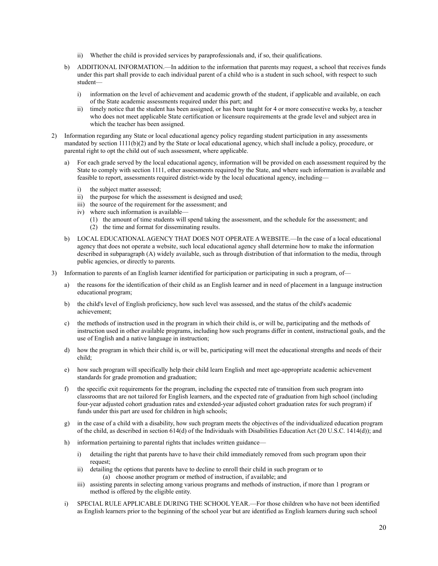- ii) Whether the child is provided services by paraprofessionals and, if so, their qualifications.
- b) ADDITIONAL INFORMATION.—In addition to the information that parents may request, a school that receives funds under this part shall provide to each individual parent of a child who is a student in such school, with respect to such student
	- i) information on the level of achievement and academic growth of the student, if applicable and available, on each of the State academic assessments required under this part; and
	- ii) timely notice that the student has been assigned, or has been taught for 4 or more consecutive weeks by, a teacher who does not meet applicable State certification or licensure requirements at the grade level and subject area in which the teacher has been assigned.
- 2) Information regarding any State or local educational agency policy regarding student participation in any assessments mandated by section 1111(b)(2) and by the State or local educational agency, which shall include a policy, procedure, or parental right to opt the child out of such assessment, where applicable.
	- a) For each grade served by the local educational agency, information will be provided on each assessment required by the State to comply with section 1111, other assessments required by the State, and where such information is available and feasible to report, assessments required district-wide by the local educational agency, including
		- i) the subject matter assessed;
		- ii) the purpose for which the assessment is designed and used;
		- iii) the source of the requirement for the assessment; and
		- iv) where such information is available—
			- (1) the amount of time students will spend taking the assessment, and the schedule for the assessment; and
			- (2) the time and format for disseminating results.
	- b) LOCAL EDUCATIONAL AGENCY THAT DOES NOT OPERATE A WEBSITE.—In the case of a local educational agency that does not operate a website, such local educational agency shall determine how to make the information described in subparagraph (A) widely available, such as through distribution of that information to the media, through public agencies, or directly to parents.
- 3) Information to parents of an English learner identified for participation or participating in such a program, of
	- a) the reasons for the identification of their child as an English learner and in need of placement in a language instruction educational program;
	- b) the child's level of English proficiency, how such level was assessed, and the status of the child's academic achievement;
	- c) the methods of instruction used in the program in which their child is, or will be, participating and the methods of instruction used in other available programs, including how such programs differ in content, instructional goals, and the use of English and a native language in instruction;
	- d) how the program in which their child is, or will be, participating will meet the educational strengths and needs of their child;
	- e) how such program will specifically help their child learn English and meet age-appropriate academic achievement standards for grade promotion and graduation;
	- f) the specific exit requirements for the program, including the expected rate of transition from such program into classrooms that are not tailored for English learners, and the expected rate of graduation from high school (including four-year adjusted cohort graduation rates and extended-year adjusted cohort graduation rates for such program) if funds under this part are used for children in high schools;
	- g) in the case of a child with a disability, how such program meets the objectives of the individualized education program of the child, as described in section 614(d) of the Individuals with Disabilities Education Act (20 U.S.C. 1414(d)); and
	- h) information pertaining to parental rights that includes written guidance
		- i) detailing the right that parents have to have their child immediately removed from such program upon their request;
		- ii) detailing the options that parents have to decline to enroll their child in such program or to (a) choose another program or method of instruction, if available; and
		- iii) assisting parents in selecting among various programs and methods of instruction, if more than 1 program or method is offered by the eligible entity.
	- i) SPECIAL RULE APPLICABLE DURING THE SCHOOL YEAR.—For those children who have not been identified as English learners prior to the beginning of the school year but are identified as English learners during such school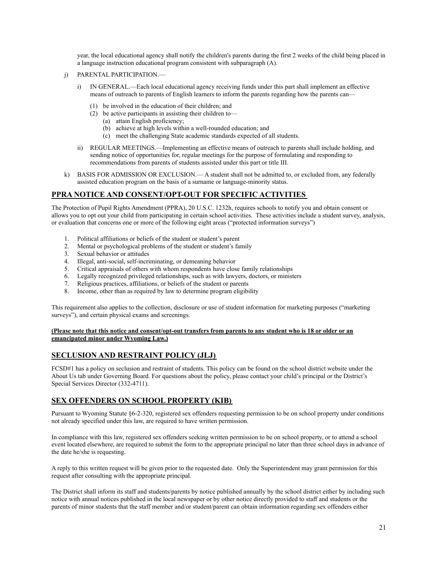year, the local educational agency shall notify the children's parents during the first 2 weeks of the child being placed in a language instruction educational program consistent with subparagraph (A).

- j) PARENTAL PARTICIPATION.
	- i) IN GENERAL.—Each local educational agency receiving funds under this part shall implement an effective means of outreach to parents of English learners to inform the parents regarding how the parents can—
		- (1) be involved in the education of their children; and
		- (2) be active participants in assisting their children to—
			- (a) attain English proficiency;
			- (b) achieve at high levels within a well-rounded education; and
			- (c) meet the challenging State academic standards expected of all students.
	- ii) REGULAR MEETINGS.—Implementing an effective means of outreach to parents shall include holding, and sending notice of opportunities for, regular meetings for the purpose of formulating and responding to recommendations from parents of students assisted under this part or title III.
- k) BASIS FOR ADMISSION OR EXCLUSION.— A student shall not be admitted to, or excluded from, any federally assisted education program on the basis of a surname or language-minority status.

## **PPRA NOTICE AND CONSENT/OPT-OUT FOR SPECIFIC ACTIVITIES**

The Protection of Pupil Rights Amendment (PPRA), 20 U.S.C. 1232h, requires schools to notify you and obtain consent or allows you to opt out your child from participating in certain school activities. These activities include a student survey, analysis, or evaluation that concerns one or more of the following eight areas ("protected information surveys")

- 1. Political affiliations or beliefs of the student or student's parent
- 2. Mental or psychological problems of the student or student's family
- 3. Sexual behavior or attitudes
- 4. Illegal, anti-social, self-incriminating, or demeaning behavior
- 5. Critical appraisals of others with whom respondents have close family relationships
- 6. Legally recognized privileged relationships, such as with lawyers, doctors, or ministers
- 7. Religious practices, affiliations, or beliefs of the student or parents
- 8. Income, other than as required by law to determine program eligibility

This requirement also applies to the collection, disclosure or use of student information for marketing purposes ("marketing surveys"), and certain physical exams and screenings.

#### **(Please note that this notice and consent/opt-out transfers from parents to any student who is 18 or older or an emancipated minor under Wyoming Law.)**

## **SECLUSION AND RESTRAINT POLICY (JLJ)**

FCSD#1 has a policy on seclusion and restraint of students. This policy can be found on the school district website under the About Us tab under Governing Board. For questions about the policy, please contact your child's principal or the District's Special Services Director (332-4711).

## **SEX OFFENDERS ON SCHOOL PROPERTY (KIB)**

Pursuant to Wyoming Statute §6-2-320, registered sex offenders requesting permission to be on school property under conditions not already specified under this law, are required to have written permission.

In compliance with this law, registered sex offenders seeking written permission to be on school property, or to attend a school event located elsewhere, are required to submit the form to the appropriate principal no later than three school days in advance of the date he/she is requesting.

A reply to this written request will be given prior to the requested date. Only the Superintendent may grant permission for this request after consulting with the appropriate principal.

The District shall inform its staff and students/parents by notice published annually by the school district either by including such notice with annual notices published in the local newspaper or by other notice directly provided to staff and students or the parents of minor students that the staff member and/or student/parent can obtain information regarding sex offenders either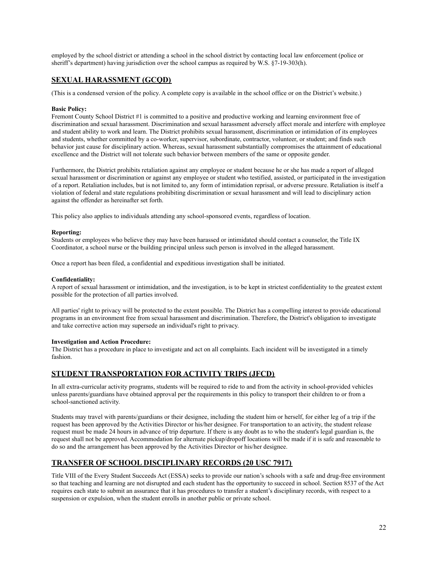employed by the school district or attending a school in the school district by contacting local law enforcement (police or sheriff's department) having jurisdiction over the school campus as required by W.S. §7-19-303(h).

## **SEXUAL HARASSMENT (GCQD)**

(This is a condensed version of the policy. A complete copy is available in the school office or on the District's website.)

#### **Basic Policy:**

Fremont County School District #1 is committed to a positive and productive working and learning environment free of discrimination and sexual harassment. Discrimination and sexual harassment adversely affect morale and interfere with employee and student ability to work and learn. The District prohibits sexual harassment, discrimination or intimidation of its employees and students, whether committed by a co-worker, supervisor, subordinate, contractor, volunteer, or student; and finds such behavior just cause for disciplinary action. Whereas, sexual harassment substantially compromises the attainment of educational excellence and the District will not tolerate such behavior between members of the same or opposite gender.

Furthermore, the District prohibits retaliation against any employee or student because he or she has made a report of alleged sexual harassment or discrimination or against any employee or student who testified, assisted, or participated in the investigation of a report. Retaliation includes, but is not limited to, any form of intimidation reprisal, or adverse pressure. Retaliation is itself a violation of federal and state regulations prohibiting discrimination or sexual harassment and will lead to disciplinary action against the offender as hereinafter set forth.

This policy also applies to individuals attending any school-sponsored events, regardless of location.

#### **Reporting:**

Students or employees who believe they may have been harassed or intimidated should contact a counselor, the Title IX Coordinator, a school nurse or the building principal unless such person is involved in the alleged harassment.

Once a report has been filed, a confidential and expeditious investigation shall be initiated.

#### **Confidentiality:**

A report of sexual harassment or intimidation, and the investigation, is to be kept in strictest confidentiality to the greatest extent possible for the protection of all parties involved.

All parties' right to privacy will be protected to the extent possible. The District has a compelling interest to provide educational programs in an environment free from sexual harassment and discrimination. Therefore, the District's obligation to investigate and take corrective action may supersede an individual's right to privacy.

#### **Investigation and Action Procedure:**

The District has a procedure in place to investigate and act on all complaints. Each incident will be investigated in a timely fashion.

## **STUDENT TRANSPORTATION FOR ACTIVITY TRIPS (JFCD)**

In all extra-curricular activity programs, students will be required to ride to and from the activity in school-provided vehicles unless parents/guardians have obtained approval per the requirements in this policy to transport their children to or from a school-sanctioned activity.

Students may travel with parents/guardians or their designee, including the student him or herself, for either leg of a trip if the request has been approved by the Activities Director or his/her designee. For transportation to an activity, the student release request must be made 24 hours in advance of trip departure. If there is any doubt as to who the student's legal guardian is, the request shall not be approved. Accommodation for alternate pickup/dropoff locations will be made if it is safe and reasonable to do so and the arrangement has been approved by the Activities Director or his/her designee.

## **TRANSFER OF SCHOOL DISCIPLINARY RECORDS (20 USC 7917)**

Title VIII of the Every Student Succeeds Act (ESSA) seeks to provide our nation's schools with a safe and drug-free environment so that teaching and learning are not disrupted and each student has the opportunity to succeed in school. Section 8537 of the Act requires each state to submit an assurance that it has procedures to transfer a student's disciplinary records, with respect to a suspension or expulsion, when the student enrolls in another public or private school.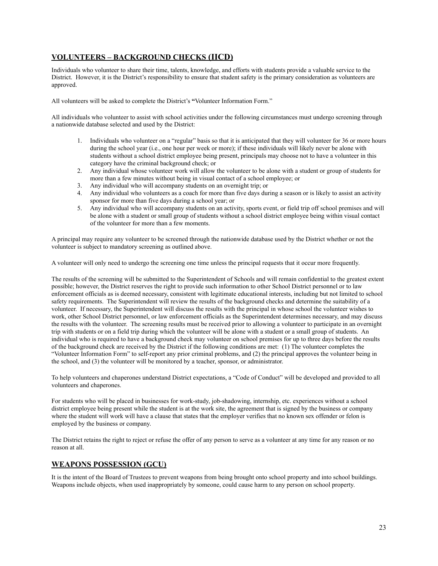## **VOLUNTEERS – BACKGROUND CHECKS (IICD)**

Individuals who volunteer to share their time, talents, knowledge, and efforts with students provide a valuable service to the District. However, it is the District's responsibility to ensure that student safety is the primary consideration as volunteers are approved.

All volunteers will be asked to complete the District's **"**Volunteer Information Form."

All individuals who volunteer to assist with school activities under the following circumstances must undergo screening through a nationwide database selected and used by the District:

- 1. Individuals who volunteer on a "regular" basis so that it is anticipated that they will volunteer for 36 or more hours during the school year (i.e., one hour per week or more); if these individuals will likely never be alone with students without a school district employee being present, principals may choose not to have a volunteer in this category have the criminal background check; or
- 2. Any individual whose volunteer work will allow the volunteer to be alone with a student or group of students for more than a few minutes without being in visual contact of a school employee; or
- 3. Any individual who will accompany students on an overnight trip; or
- 4. Any individual who volunteers as a coach for more than five days during a season or is likely to assist an activity sponsor for more than five days during a school year; or
- 5. Any individual who will accompany students on an activity, sports event, or field trip off school premises and will be alone with a student or small group of students without a school district employee being within visual contact of the volunteer for more than a few moments.

A principal may require any volunteer to be screened through the nationwide database used by the District whether or not the volunteer is subject to mandatory screening as outlined above.

A volunteer will only need to undergo the screening one time unless the principal requests that it occur more frequently.

The results of the screening will be submitted to the Superintendent of Schools and will remain confidential to the greatest extent possible; however, the District reserves the right to provide such information to other School District personnel or to law enforcement officials as is deemed necessary, consistent with legitimate educational interests, including but not limited to school safety requirements. The Superintendent will review the results of the background checks and determine the suitability of a volunteer. If necessary, the Superintendent will discuss the results with the principal in whose school the volunteer wishes to work, other School District personnel, or law enforcement officials as the Superintendent determines necessary, and may discuss the results with the volunteer. The screening results must be received prior to allowing a volunteer to participate in an overnight trip with students or on a field trip during which the volunteer will be alone with a student or a small group of students. An individual who is required to have a background check may volunteer on school premises for up to three days before the results of the background check are received by the District if the following conditions are met: (1) The volunteer completes the "Volunteer Information Form" to self-report any prior criminal problems, and (2) the principal approves the volunteer being in the school, and (3) the volunteer will be monitored by a teacher, sponsor, or administrator.

To help volunteers and chaperones understand District expectations, a "Code of Conduct" will be developed and provided to all volunteers and chaperones.

For students who will be placed in businesses for work-study, job-shadowing, internship, etc. experiences without a school district employee being present while the student is at the work site, the agreement that is signed by the business or company where the student will work will have a clause that states that the employer verifies that no known sex offender or felon is employed by the business or company.

The District retains the right to reject or refuse the offer of any person to serve as a volunteer at any time for any reason or no reason at all.

## **WEAPONS POSSESSION (GCU)**

It is the intent of the Board of Trustees to prevent weapons from being brought onto school property and into school buildings. Weapons include objects, when used inappropriately by someone, could cause harm to any person on school property.